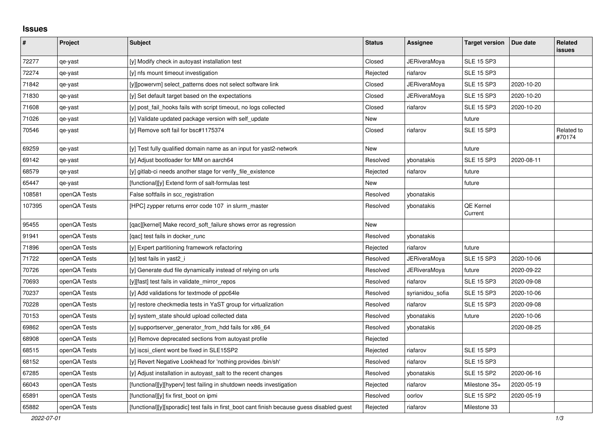## **Issues**

| ∦      | Project      | <b>Subject</b>                                                                              | <b>Status</b> | Assignee            | <b>Target version</b>       | Due date   | Related<br>issues    |
|--------|--------------|---------------------------------------------------------------------------------------------|---------------|---------------------|-----------------------------|------------|----------------------|
| 72277  | qe-yast      | [y] Modify check in autoyast installation test                                              | Closed        | <b>JERiveraMoya</b> | <b>SLE 15 SP3</b>           |            |                      |
| 72274  | qe-yast      | [y] nfs mount timeout investigation                                                         | Rejected      | riafarov            | <b>SLE 15 SP3</b>           |            |                      |
| 71842  | qe-yast      | [y][powervm] select_patterns does not select software link                                  | Closed        | JERiveraMoya        | <b>SLE 15 SP3</b>           | 2020-10-20 |                      |
| 71830  | qe-yast      | [y] Set default target based on the expectations                                            | Closed        | <b>JERiveraMoya</b> | <b>SLE 15 SP3</b>           | 2020-10-20 |                      |
| 71608  | qe-yast      | [y] post_fail_hooks fails with script timeout, no logs collected                            | Closed        | riafarov            | <b>SLE 15 SP3</b>           | 2020-10-20 |                      |
| 71026  | qe-yast      | [y] Validate updated package version with self update                                       | New           |                     | future                      |            |                      |
| 70546  | qe-yast      | [y] Remove soft fail for bsc#1175374                                                        | Closed        | riafarov            | <b>SLE 15 SP3</b>           |            | Related to<br>#70174 |
| 69259  | qe-yast      | [y] Test fully qualified domain name as an input for yast2-network                          | New           |                     | future                      |            |                      |
| 69142  | qe-yast      | [y] Adjust bootloader for MM on aarch64                                                     | Resolved      | ybonatakis          | <b>SLE 15 SP3</b>           | 2020-08-11 |                      |
| 68579  | qe-yast      | [y] gitlab-ci needs another stage for verify_file_existence                                 | Rejected      | riafarov            | future                      |            |                      |
| 65447  | qe-yast      | [functional][y] Extend form of salt-formulas test                                           | New           |                     | future                      |            |                      |
| 108581 | openQA Tests | False softfails in scc_registration                                                         | Resolved      | ybonatakis          |                             |            |                      |
| 107395 | openQA Tests | [HPC] zypper returns error code 107 in slurm_master                                         | Resolved      | ybonatakis          | <b>QE Kernel</b><br>Current |            |                      |
| 95455  | openQA Tests | [qac][kernel] Make record_soft_failure shows error as regression                            | New           |                     |                             |            |                      |
| 91941  | openQA Tests | [qac] test fails in docker_runc                                                             | Resolved      | ybonatakis          |                             |            |                      |
| 71896  | openQA Tests | [y] Expert partitioning framework refactoring                                               | Rejected      | riafarov            | future                      |            |                      |
| 71722  | openQA Tests | [y] test fails in yast2 i                                                                   | Resolved      | <b>JERiveraMoya</b> | <b>SLE 15 SP3</b>           | 2020-10-06 |                      |
| 70726  | openQA Tests | [y] Generate dud file dynamically instead of relying on urls                                | Resolved      | <b>JERiveraMoya</b> | future                      | 2020-09-22 |                      |
| 70693  | openQA Tests | [y][fast] test fails in validate_mirror_repos                                               | Resolved      | riafarov            | <b>SLE 15 SP3</b>           | 2020-09-08 |                      |
| 70237  | openQA Tests | [y] Add validations for textmode of ppc64le                                                 | Resolved      | syrianidou_sofia    | <b>SLE 15 SP3</b>           | 2020-10-06 |                      |
| 70228  | openQA Tests | [y] restore checkmedia tests in YaST group for virtualization                               | Resolved      | riafarov            | <b>SLE 15 SP3</b>           | 2020-09-08 |                      |
| 70153  | openQA Tests | [y] system state should upload collected data                                               | Resolved      | ybonatakis          | future                      | 2020-10-06 |                      |
| 69862  | openQA Tests | [y] supportserver generator from hdd fails for x86 64                                       | Resolved      | vbonatakis          |                             | 2020-08-25 |                      |
| 68908  | openQA Tests | [y] Remove deprecated sections from autoyast profile                                        | Rejected      |                     |                             |            |                      |
| 68515  | openQA Tests | [y] iscsi_client wont be fixed in SLE15SP2                                                  | Rejected      | riafarov            | <b>SLE 15 SP3</b>           |            |                      |
| 68152  | openQA Tests | [y] Revert Negative Lookhead for 'nothing provides /bin/sh'                                 | Resolved      | riafarov            | <b>SLE 15 SP3</b>           |            |                      |
| 67285  | openQA Tests | [y] Adjust installation in autoyast salt to the recent changes                              | Resolved      | ybonatakis          | <b>SLE 15 SP2</b>           | 2020-06-16 |                      |
| 66043  | openQA Tests | [functional][y][hyperv] test failing in shutdown needs investigation                        | Rejected      | riafarov            | Milestone 35+               | 2020-05-19 |                      |
| 65891  | openQA Tests | [functional][y] fix first_boot on ipmi                                                      | Resolved      | oorlov              | <b>SLE 15 SP2</b>           | 2020-05-19 |                      |
| 65882  | openQA Tests | [functional][y][sporadic] test fails in first boot cant finish because guess disabled guest | Rejected      | riafarov            | Milestone 33                |            |                      |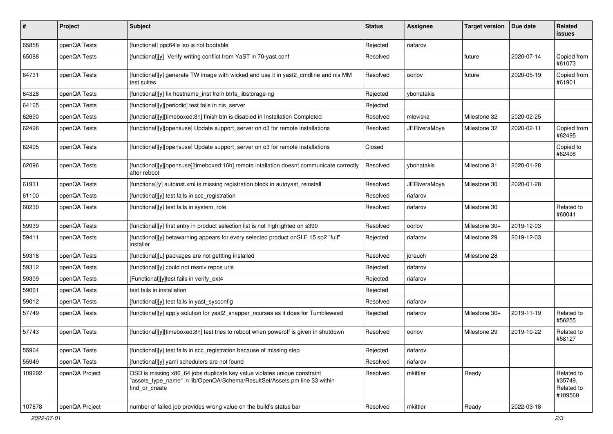| $\pmb{\#}$ | Project        | Subject                                                                                                                                                                   | <b>Status</b> | Assignee            | <b>Target version</b> | Due date   | Related<br><b>issues</b>                       |
|------------|----------------|---------------------------------------------------------------------------------------------------------------------------------------------------------------------------|---------------|---------------------|-----------------------|------------|------------------------------------------------|
| 65858      | openQA Tests   | [functional] ppc64le iso is not bootable                                                                                                                                  | Rejected      | riafarov            |                       |            |                                                |
| 65088      | openQA Tests   | [functional][y] Verify writing conflict from YaST in 70-yast.conf                                                                                                         | Resolved      |                     | future                | 2020-07-14 | Copied from<br>#61073                          |
| 64731      | openQA Tests   | [functional][y] generate TW image with wicked and use it in yast2_cmdline and nis MM<br>test suites                                                                       | Resolved      | oorlov              | future                | 2020-05-19 | Copied from<br>#61901                          |
| 64328      | openQA Tests   | [functional][y] fix hostname_inst from btrfs_libstorage-ng                                                                                                                | Rejected      | vbonatakis          |                       |            |                                                |
| 64165      | openQA Tests   | [functional][y][periodic] test fails in nis_server                                                                                                                        | Rejected      |                     |                       |            |                                                |
| 62690      | openQA Tests   | [functional][y][timeboxed:8h] finish btn is disabled in Installation Completed                                                                                            | Resolved      | mloviska            | Milestone 32          | 2020-02-25 |                                                |
| 62498      | openQA Tests   | [functional][y][opensuse] Update support_server on o3 for remote installations                                                                                            | Resolved      | <b>JERiveraMoya</b> | Milestone 32          | 2020-02-11 | Copied from<br>#62495                          |
| 62495      | openQA Tests   | [functional][y][opensuse] Update support_server on o3 for remote installations                                                                                            | Closed        |                     |                       |            | Copied to<br>#62498                            |
| 62096      | openQA Tests   | [functional][y][opensuse][timeboxed:16h] remote intallation doesnt communicate correctly<br>after reboot                                                                  | Resolved      | vbonatakis          | Milestone 31          | 2020-01-28 |                                                |
| 61931      | openQA Tests   | [functiona][y] autoinst.xml is missing registration block in autoyast_reinstall                                                                                           | Resolved      | <b>JERiveraMoya</b> | Milestone 30          | 2020-01-28 |                                                |
| 61100      | openQA Tests   | [functional][y] test fails in scc_registration                                                                                                                            | Resolved      | riafarov            |                       |            |                                                |
| 60230      | openQA Tests   | [functional][y] test fails in system_role                                                                                                                                 | Resolved      | riafarov            | Milestone 30          |            | Related to<br>#60041                           |
| 59939      | openQA Tests   | [functional][y] first entry in product selection list is not highlighted on s390                                                                                          | Resolved      | oorlov              | Milestone 30+         | 2019-12-03 |                                                |
| 59411      | openQA Tests   | [functional][y] betawarning appears for every selected product onSLE 15 sp2 "full"<br>installer                                                                           | Rejected      | riafarov            | Milestone 29          | 2019-12-03 |                                                |
| 59318      | openQA Tests   | [functional][u] packages are not gettting installed                                                                                                                       | Resolved      | jorauch             | Milestone 28          |            |                                                |
| 59312      | openQA Tests   | [functional][y] could not resolv repos urls                                                                                                                               | Rejected      | riafarov            |                       |            |                                                |
| 59309      | openQA Tests   | [Functional][y]test fails in verify_ext4                                                                                                                                  | Rejected      | riafarov            |                       |            |                                                |
| 59061      | openQA Tests   | test fails in installation                                                                                                                                                | Rejected      |                     |                       |            |                                                |
| 59012      | openQA Tests   | [functional][y] test fails in yast_sysconfig                                                                                                                              | Resolved      | riafarov            |                       |            |                                                |
| 57749      | openQA Tests   | [functional][y] apply solution for yast2_snapper_ncurses as it does for Tumbleweed                                                                                        | Rejected      | riafarov            | Milestone 30+         | 2019-11-19 | Related to<br>#56255                           |
| 57743      | openQA Tests   | [functional][y][timeboxed:8h] test tries to reboot when poweroff is given in shutdown                                                                                     | Resolved      | oorlov              | Milestone 29          | 2019-10-22 | Related to<br>#58127                           |
| 55964      | openQA Tests   | [functional][y] test fails in scc_registration because of missing step                                                                                                    | Rejected      | riafarov            |                       |            |                                                |
| 55949      | openQA Tests   | [functional][y] yaml schedulers are not found                                                                                                                             | Resolved      | riafarov            |                       |            |                                                |
| 109292     | openQA Project | OSD is missing x86_64 jobs duplicate key value violates unique constraint<br>"assets type name" in lib/OpenQA/Schema/ResultSet/Assets.pm line 33 within<br>find or create | Resolved      | mkittler            | Ready                 |            | Related to<br>#35749.<br>Related to<br>#109560 |
| 107878     | openQA Project | number of failed job provides wrong value on the build's status bar                                                                                                       | Resolved      | mkittler            | Ready                 | 2022-03-18 |                                                |